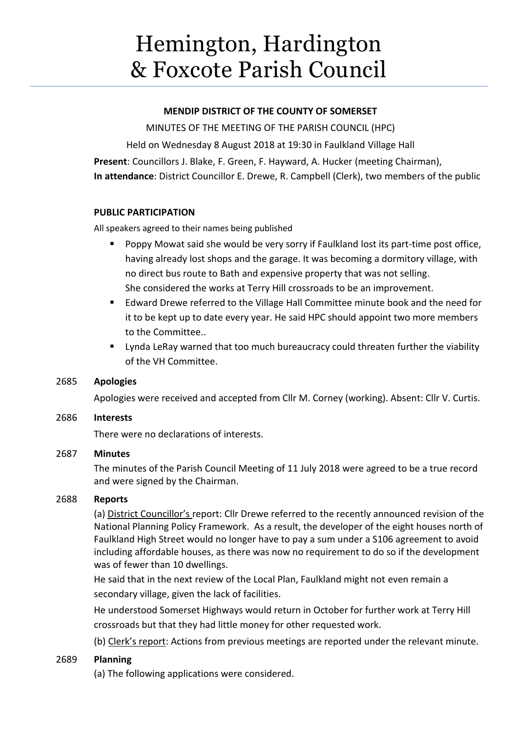# Hemington, Hardington & Foxcote Parish Council

## **MENDIP DISTRICT OF THE COUNTY OF SOMERSET**

MINUTES OF THE MEETING OF THE PARISH COUNCIL (HPC)

Held on Wednesday 8 August 2018 at 19:30 in Faulkland Village Hall

**Present**: Councillors J. Blake, F. Green, F. Hayward, A. Hucker (meeting Chairman), **In attendance**: District Councillor E. Drewe, R. Campbell (Clerk), two members of the public

## **PUBLIC PARTICIPATION**

All speakers agreed to their names being published

- Poppy Mowat said she would be very sorry if Faulkland lost its part-time post office, having already lost shops and the garage. It was becoming a dormitory village, with no direct bus route to Bath and expensive property that was not selling. She considered the works at Terry Hill crossroads to be an improvement.
- Edward Drewe referred to the Village Hall Committee minute book and the need for it to be kept up to date every year. He said HPC should appoint two more members to the Committee..
- Lynda LeRay warned that too much bureaucracy could threaten further the viability of the VH Committee.

# 2685 **Apologies**

Apologies were received and accepted from Cllr M. Corney (working). Absent: Cllr V. Curtis.

# 2686 **Interests**

There were no declarations of interests.

# 2687 **Minutes**

The minutes of the Parish Council Meeting of 11 July 2018 were agreed to be a true record and were signed by the Chairman.

# 2688 **Reports**

(a) District Councillor's report: Cllr Drewe referred to the recently announced revision of the National Planning Policy Framework. As a result, the developer of the eight houses north of Faulkland High Street would no longer have to pay a sum under a S106 agreement to avoid including affordable houses, as there was now no requirement to do so if the development was of fewer than 10 dwellings.

He said that in the next review of the Local Plan, Faulkland might not even remain a secondary village, given the lack of facilities.

He understood Somerset Highways would return in October for further work at Terry Hill crossroads but that they had little money for other requested work.

(b) Clerk's report: Actions from previous meetings are reported under the relevant minute.

# 2689 **Planning**

(a) The following applications were considered.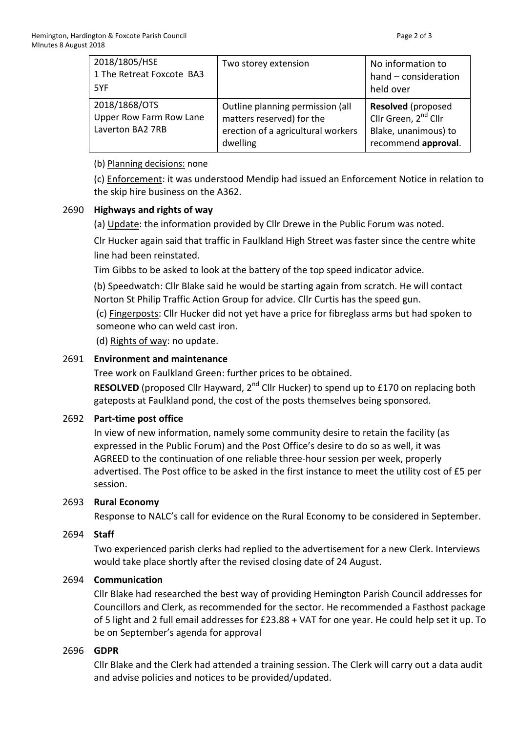| 2018/1805/HSE<br>1 The Retreat Foxcote BA3<br>5YF            | Two storey extension                                                                                            | No information to<br>hand - consideration<br>held over                                                       |
|--------------------------------------------------------------|-----------------------------------------------------------------------------------------------------------------|--------------------------------------------------------------------------------------------------------------|
| 2018/1868/OTS<br>Upper Row Farm Row Lane<br>Laverton BA2 7RB | Outline planning permission (all<br>matters reserved) for the<br>erection of a agricultural workers<br>dwelling | <b>Resolved</b> (proposed<br>Cllr Green, 2 <sup>nd</sup> Cllr<br>Blake, unanimous) to<br>recommend approval. |

(b) Planning decisions: none

(c) Enforcement: it was understood Mendip had issued an Enforcement Notice in relation to the skip hire business on the A362.

# 2690 **Highways and rights of way**

(a) Update: the information provided by Cllr Drewe in the Public Forum was noted.

Clr Hucker again said that traffic in Faulkland High Street was faster since the centre white line had been reinstated.

Tim Gibbs to be asked to look at the battery of the top speed indicator advice.

(b) Speedwatch: Cllr Blake said he would be starting again from scratch. He will contact Norton St Philip Traffic Action Group for advice. Cllr Curtis has the speed gun.

(c) Fingerposts: Cllr Hucker did not yet have a price for fibreglass arms but had spoken to someone who can weld cast iron.

(d) Rights of way: no update.

## 2691 **Environment and maintenance**

Tree work on Faulkland Green: further prices to be obtained.

**RESOLVED** (proposed Cllr Hayward, 2<sup>nd</sup> Cllr Hucker) to spend up to £170 on replacing both gateposts at Faulkland pond, the cost of the posts themselves being sponsored.

# 2692 **Part-time post office**

In view of new information, namely some community desire to retain the facility (as expressed in the Public Forum) and the Post Office's desire to do so as well, it was AGREED to the continuation of one reliable three-hour session per week, properly advertised. The Post office to be asked in the first instance to meet the utility cost of £5 per session.

## 2693 **Rural Economy**

Response to NALC's call for evidence on the Rural Economy to be considered in September.

## 2694 **Staff**

Two experienced parish clerks had replied to the advertisement for a new Clerk. Interviews would take place shortly after the revised closing date of 24 August.

## 2694 **Communication**

Cllr Blake had researched the best way of providing Hemington Parish Council addresses for Councillors and Clerk, as recommended for the sector. He recommended a Fasthost package of 5 light and 2 full email addresses for £23.88 + VAT for one year. He could help set it up. To be on September's agenda for approval

## 2696 **GDPR**

Cllr Blake and the Clerk had attended a training session. The Clerk will carry out a data audit and advise policies and notices to be provided/updated.